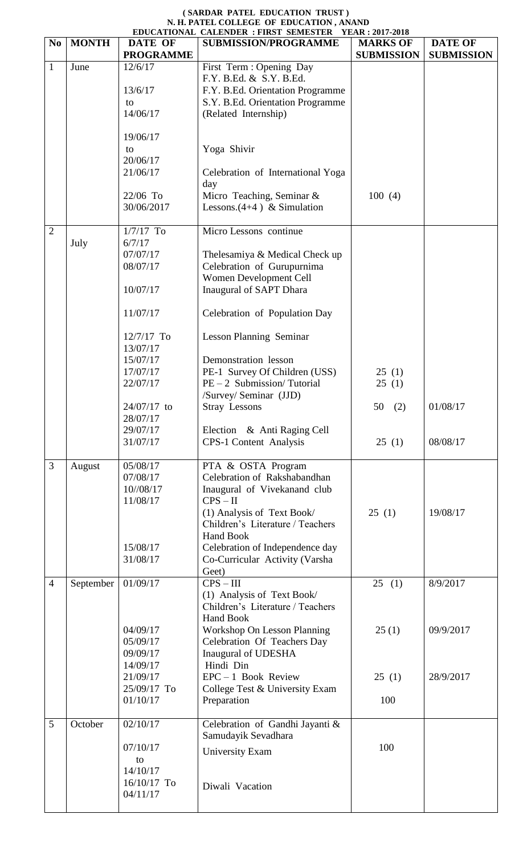## **( SARDAR PATEL EDUCATION TRUST ) N. H. PATEL COLLEGE OF EDUCATION , ANAND**

|                |              |                  | EDUCATIONAL CALENDER : FIRST SEMESTER<br><b>YEAR: 2017-2018</b> |                   |                   |  |  |  |
|----------------|--------------|------------------|-----------------------------------------------------------------|-------------------|-------------------|--|--|--|
| N <sub>0</sub> | <b>MONTH</b> | DATE OF          | <b>SUBMISSION/PROGRAMME</b>                                     | <b>MARKS OF</b>   | <b>DATE OF</b>    |  |  |  |
|                |              | <b>PROGRAMME</b> |                                                                 | <b>SUBMISSION</b> | <b>SUBMISSION</b> |  |  |  |
| 1              | June         | 12/6/17          | First Term : Opening Day                                        |                   |                   |  |  |  |
|                |              |                  | F.Y. B.Ed. & S.Y. B.Ed.                                         |                   |                   |  |  |  |
|                |              | 13/6/17          | F.Y. B.Ed. Orientation Programme                                |                   |                   |  |  |  |
|                |              | to               | S.Y. B.Ed. Orientation Programme                                |                   |                   |  |  |  |
|                |              | 14/06/17         | (Related Internship)                                            |                   |                   |  |  |  |
|                |              |                  |                                                                 |                   |                   |  |  |  |
|                |              | 19/06/17         |                                                                 |                   |                   |  |  |  |
|                |              | to               | Yoga Shivir                                                     |                   |                   |  |  |  |
|                |              | 20/06/17         |                                                                 |                   |                   |  |  |  |
|                |              | 21/06/17         | Celebration of International Yoga                               |                   |                   |  |  |  |
|                |              |                  | day                                                             |                   |                   |  |  |  |
|                |              | 22/06 To         | Micro Teaching, Seminar &                                       | 100(4)            |                   |  |  |  |
|                |              | 30/06/2017       | Lessons. $(4+4)$ & Simulation                                   |                   |                   |  |  |  |
|                |              |                  |                                                                 |                   |                   |  |  |  |
| $\overline{2}$ |              | $1/7/17$ To      | Micro Lessons continue                                          |                   |                   |  |  |  |
|                | July         | 6/7/17           |                                                                 |                   |                   |  |  |  |
|                |              | 07/07/17         | Thelesamiya & Medical Check up                                  |                   |                   |  |  |  |
|                |              | 08/07/17         | Celebration of Gurupurnima                                      |                   |                   |  |  |  |
|                |              |                  | Women Development Cell                                          |                   |                   |  |  |  |
|                |              | 10/07/17         | Inaugural of SAPT Dhara                                         |                   |                   |  |  |  |
|                |              |                  |                                                                 |                   |                   |  |  |  |
|                |              | 11/07/17         | Celebration of Population Day                                   |                   |                   |  |  |  |
|                |              |                  |                                                                 |                   |                   |  |  |  |
|                |              | $12/7/17$ To     | <b>Lesson Planning Seminar</b>                                  |                   |                   |  |  |  |
|                |              | 13/07/17         |                                                                 |                   |                   |  |  |  |
|                |              | 15/07/17         | Demonstration lesson                                            |                   |                   |  |  |  |
|                |              | 17/07/17         | PE-1 Survey Of Children (USS)                                   | 25(1)             |                   |  |  |  |
|                |              | 22/07/17         | $PE-2$ Submission/Tutorial                                      | 25(1)             |                   |  |  |  |
|                |              |                  | /Survey/ Seminar (JJD)                                          |                   |                   |  |  |  |
|                |              | 24/07/17 to      | <b>Stray Lessons</b>                                            | 50(2)             | 01/08/17          |  |  |  |
|                |              | 28/07/17         |                                                                 |                   |                   |  |  |  |
|                |              | 29/07/17         | Election & Anti Raging Cell                                     |                   |                   |  |  |  |
|                |              | 31/07/17         | <b>CPS-1 Content Analysis</b>                                   | 25(1)             | 08/08/17          |  |  |  |
|                |              |                  |                                                                 |                   |                   |  |  |  |
| 3              | August       | 05/08/17         | PTA & OSTA Program                                              |                   |                   |  |  |  |
|                |              | 07/08/17         | Celebration of Rakshabandhan                                    |                   |                   |  |  |  |
|                |              | 10//08/17        | Inaugural of Vivekanand club                                    |                   |                   |  |  |  |
|                |              | 11/08/17         | $CPS - II$                                                      |                   |                   |  |  |  |
|                |              |                  | (1) Analysis of Text Book/                                      | 25(1)             | 19/08/17          |  |  |  |
|                |              |                  | Children's Literature / Teachers                                |                   |                   |  |  |  |
|                |              |                  | <b>Hand Book</b>                                                |                   |                   |  |  |  |
|                |              | 15/08/17         | Celebration of Independence day                                 |                   |                   |  |  |  |
|                |              | 31/08/17         | Co-Curricular Activity (Varsha                                  |                   |                   |  |  |  |
|                |              |                  | Geet)                                                           |                   |                   |  |  |  |
| $\overline{4}$ | September    | 01/09/17         | $CPS - III$                                                     | 25(1)             | 8/9/2017          |  |  |  |
|                |              |                  | (1) Analysis of Text Book/                                      |                   |                   |  |  |  |
|                |              |                  | Children's Literature / Teachers                                |                   |                   |  |  |  |
|                |              |                  | <b>Hand Book</b>                                                |                   |                   |  |  |  |
|                |              | 04/09/17         | Workshop On Lesson Planning                                     | 25(1)             | 09/9/2017         |  |  |  |
|                |              | 05/09/17         | Celebration Of Teachers Day                                     |                   |                   |  |  |  |
|                |              | 09/09/17         | Inaugural of UDESHA                                             |                   |                   |  |  |  |
|                |              | 14/09/17         | Hindi Din                                                       |                   |                   |  |  |  |
|                |              | 21/09/17         | $EPC - 1$ Book Review                                           | 25(1)             | 28/9/2017         |  |  |  |
|                |              | 25/09/17 To      | College Test & University Exam                                  |                   |                   |  |  |  |
|                |              | 01/10/17         | Preparation                                                     | 100               |                   |  |  |  |
|                |              |                  |                                                                 |                   |                   |  |  |  |
| 5              | October      | 02/10/17         | Celebration of Gandhi Jayanti &                                 |                   |                   |  |  |  |
|                |              |                  | Samudayik Sevadhara                                             |                   |                   |  |  |  |
|                |              | 07/10/17         | <b>University Exam</b>                                          | 100               |                   |  |  |  |
|                |              | to               |                                                                 |                   |                   |  |  |  |
|                |              | 14/10/17         |                                                                 |                   |                   |  |  |  |
|                |              | 16/10/17 To      | Diwali Vacation                                                 |                   |                   |  |  |  |
|                |              | 04/11/17         |                                                                 |                   |                   |  |  |  |
|                |              |                  |                                                                 |                   |                   |  |  |  |